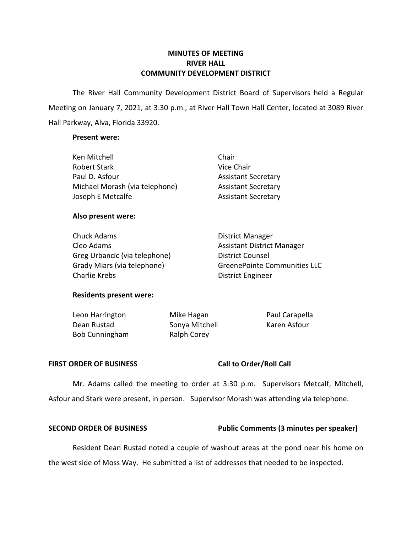# **MINUTES OF MEETING RIVER HALL COMMUNITY DEVELOPMENT DISTRICT**

 The River Hall Community Development District Board of Supervisors held a Regular Meeting on January 7, 2021, at 3:30 p.m., at River Hall Town Hall Center, located at 3089 River Hall Parkway, Alva, Florida 33920.

## **Present were:**

| Ken Mitchell                   | Chair                      |
|--------------------------------|----------------------------|
| <b>Robert Stark</b>            | Vice Chair                 |
| Paul D. Asfour                 | <b>Assistant Secretary</b> |
| Michael Morash (via telephone) | <b>Assistant Secretary</b> |
| Joseph E Metcalfe              | <b>Assistant Secretary</b> |

## **Also present were:**

| Chuck Adams                   | <b>District Manager</b>             |  |
|-------------------------------|-------------------------------------|--|
| Cleo Adams                    | Assistant District Manager          |  |
| Greg Urbancic (via telephone) | <b>District Counsel</b>             |  |
| Grady Miars (via telephone)   | <b>GreenePointe Communities LLC</b> |  |
| Charlie Krebs                 | District Engineer                   |  |

# **Residents present were:**

| Leon Harrington       | Mike Hagan     | Paul Carapella |
|-----------------------|----------------|----------------|
| Dean Rustad           | Sonya Mitchell | Karen Asfour   |
| <b>Bob Cunningham</b> | Ralph Corey    |                |

## FIRST ORDER OF BUSINESS Call to Order/Roll Call

 Mr. Adams called the meeting to order at 3:30 p.m. Supervisors Metcalf, Mitchell, Asfour and Stark were present, in person. Supervisor Morash was attending via telephone.

## **SECOND ORDER OF BUSINESS** Public Comments (3 minutes per speaker)

 Resident Dean Rustad noted a couple of washout areas at the pond near his home on the west side of Moss Way. He submitted a list of addresses that needed to be inspected.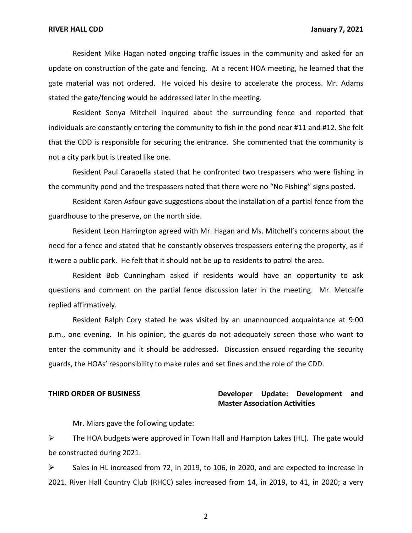Resident Mike Hagan noted ongoing traffic issues in the community and asked for an update on construction of the gate and fencing. At a recent HOA meeting, he learned that the gate material was not ordered. He voiced his desire to accelerate the process. Mr. Adams stated the gate/fencing would be addressed later in the meeting.

 Resident Sonya Mitchell inquired about the surrounding fence and reported that individuals are constantly entering the community to fish in the pond near #11 and #12. She felt that the CDD is responsible for securing the entrance. She commented that the community is not a city park but is treated like one.

 Resident Paul Carapella stated that he confronted two trespassers who were fishing in the community pond and the trespassers noted that there were no "No Fishing" signs posted.

 Resident Karen Asfour gave suggestions about the installation of a partial fence from the guardhouse to the preserve, on the north side.

 Resident Leon Harrington agreed with Mr. Hagan and Ms. Mitchell's concerns about the need for a fence and stated that he constantly observes trespassers entering the property, as if it were a public park. He felt that it should not be up to residents to patrol the area.

 Resident Bob Cunningham asked if residents would have an opportunity to ask questions and comment on the partial fence discussion later in the meeting. Mr. Metcalfe replied affirmatively.

 Resident Ralph Cory stated he was visited by an unannounced acquaintance at 9:00 p.m., one evening. In his opinion, the guards do not adequately screen those who want to enter the community and it should be addressed. Discussion ensued regarding the security guards, the HOAs' responsibility to make rules and set fines and the role of the CDD.

# **THIRD ORDER OF BUSINESS Developer Update: Development and Master Association Activities**

Mr. Miars gave the following update:

 $\triangleright$  The HOA budgets were approved in Town Hall and Hampton Lakes (HL). The gate would be constructed during 2021.

 ➢ Sales in HL increased from 72, in 2019, to 106, in 2020, and are expected to increase in 2021. River Hall Country Club (RHCC) sales increased from 14, in 2019, to 41, in 2020; a very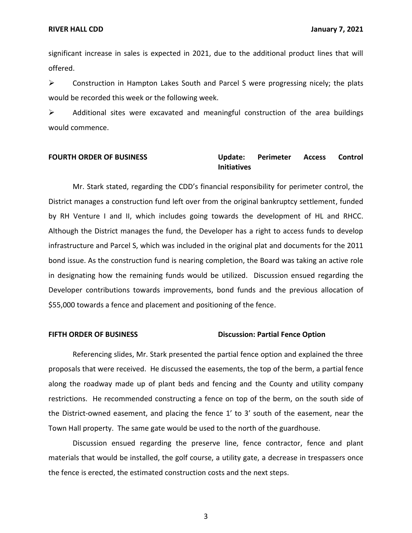significant increase in sales is expected in 2021, due to the additional product lines that will offered.

 ➢ Construction in Hampton Lakes South and Parcel S were progressing nicely; the plats would be recorded this week or the following week.

➢ Additional sites were excavated and meaningful construction of the area buildings would commence.

## **Perimeter FOURTH ORDER OF BUSINESS Update: Perimeter Access Control Initiatives**

 Mr. Stark stated, regarding the CDD's financial responsibility for perimeter control, the District manages a construction fund left over from the original bankruptcy settlement, funded by RH Venture I and II, which includes going towards the development of HL and RHCC. Although the District manages the fund, the Developer has a right to access funds to develop infrastructure and Parcel S, which was included in the original plat and documents for the 2011 bond issue. As the construction fund is nearing completion, the Board was taking an active role in designating how the remaining funds would be utilized. Discussion ensued regarding the Developer contributions towards improvements, bond funds and the previous allocation of \$55,000 towards a fence and placement and positioning of the fence.

## **FIFTH ORDER OF BUSINESS Discussion: Partial Fence Option**

 Referencing slides, Mr. Stark presented the partial fence option and explained the three proposals that were received. He discussed the easements, the top of the berm, a partial fence along the roadway made up of plant beds and fencing and the County and utility company restrictions. He recommended constructing a fence on top of the berm, on the south side of the District-owned easement, and placing the fence 1' to 3' south of the easement, near the Town Hall property. The same gate would be used to the north of the guardhouse.

 Discussion ensued regarding the preserve line, fence contractor, fence and plant materials that would be installed, the golf course, a utility gate, a decrease in trespassers once the fence is erected, the estimated construction costs and the next steps.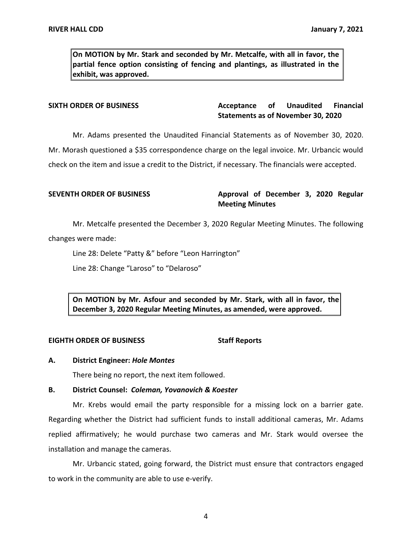**On MOTION by Mr. Stark and seconded by Mr. Metcalfe, with all in favor, the partial fence option consisting of fencing and plantings, as illustrated in the exhibit, was approved.** 

## **Acceptance Statements as of November 30, 2020 SIXTH ORDER OF BUSINESS Acceptance of Unaudited Financial**

Mr. Adams presented the Unaudited Financial Statements as of November 30, 2020.

Mr. Adams presented the Unaudited Financial Statements as of November 30, 2020. Mr. Morash questioned a \$35 correspondence charge on the legal invoice. Mr. Urbancic would

check on the item and issue a credit to the District, if necessary. The financials were accepted.

SEVENTH ORDER OF BUSINESS **Approval of December 3, 2020 Regular Meeting Minutes** 

 Mr. Metcalfe presented the December 3, 2020 Regular Meeting Minutes. The following changes were made:

Line 28: Delete "Patty &" before "Leon Harrington"

Line 28: Change "Laroso" to "Delaroso"

 **On MOTION by Mr. Asfour and seconded by Mr. Stark, with all in favor, the December 3, 2020 Regular Meeting Minutes, as amended, were approved.** 

## **EIGHTH ORDER OF BUSINESS STATES STAFF Reports**

## **A. District Engineer:** *Hole Montes*

There being no report, the next item followed.

## **B. District Counsel:** *Coleman, Yovanovich & Koester*

 Mr. Krebs would email the party responsible for a missing lock on a barrier gate. Regarding whether the District had sufficient funds to install additional cameras, Mr. Adams installation and manage the cameras. replied affirmatively; he would purchase two cameras and Mr. Stark would oversee the

 Mr. Urbancic stated, going forward, the District must ensure that contractors engaged to work in the community are able to use e-verify.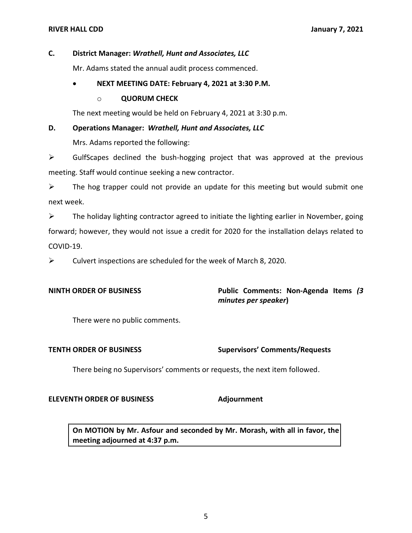# **C. District Manager:** *Wrathell, Hunt and Associates, LLC*

Mr. Adams stated the annual audit process commenced.

# • **NEXT MEETING DATE: February 4, 2021 at 3:30 P.M.**

## o **QUORUM CHECK**

The next meeting would be held on February 4, 2021 at 3:30 p.m.

## **D. Operations Manager:** *Wrathell, Hunt and Associates, LLC*

Mrs. Adams reported the following:

 $\triangleright$  GulfScapes declined the bush-hogging project that was approved at the previous meeting. Staff would continue seeking a new contractor.

 $\triangleright$  The hog trapper could not provide an update for this meeting but would submit one next week.

 $\triangleright$  The holiday lighting contractor agreed to initiate the lighting earlier in November, going forward; however, they would not issue a credit for 2020 for the installation delays related to COVID-19.

 $\triangleright$  Culvert inspections are scheduled for the week of March 8, 2020.

**NINTH ORDER OF BUSINESS Public Comments: Non-Agenda Items** *(3 minutes per speaker***)** 

There were no public comments.

**TENTH ORDER OF BUSINESS Supervisors' Comments/Requests**

There being no Supervisors' comments or requests, the next item followed.

## **ELEVENTH ORDER OF BUSINESS Adjournment**

 **On MOTION by Mr. Asfour and seconded by Mr. Morash, with all in favor, the meeting adjourned at 4:37 p.m.**